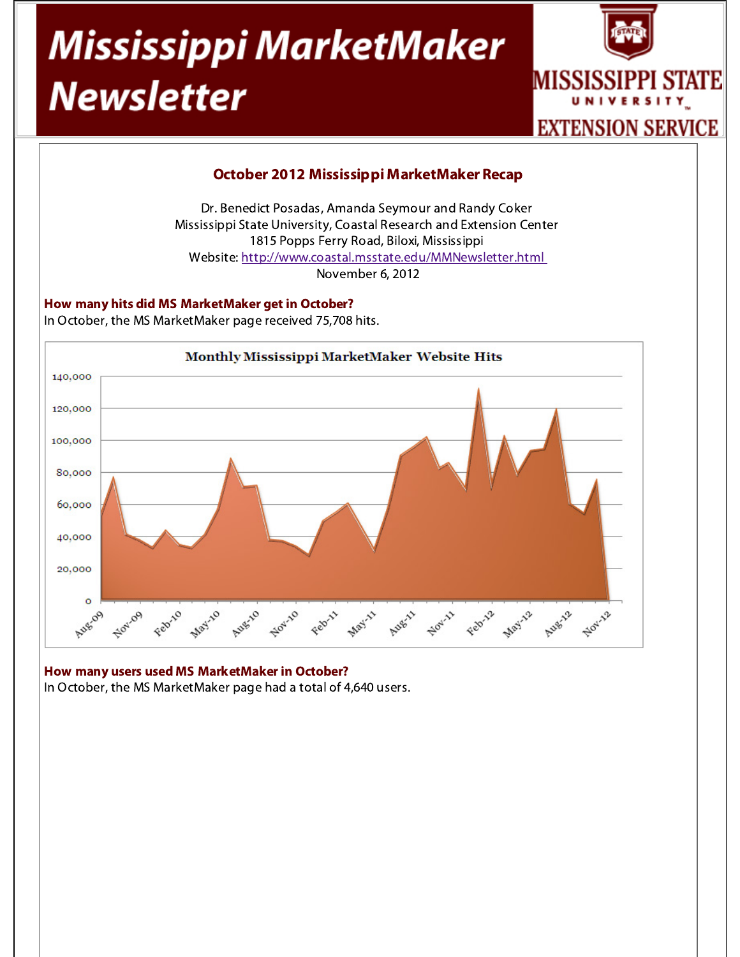# Mississippi MarketMaker **Newsletter**





## How many users used MS MarketMaker in October?

In October, the MS MarketMaker page had a total of 4,640 users.